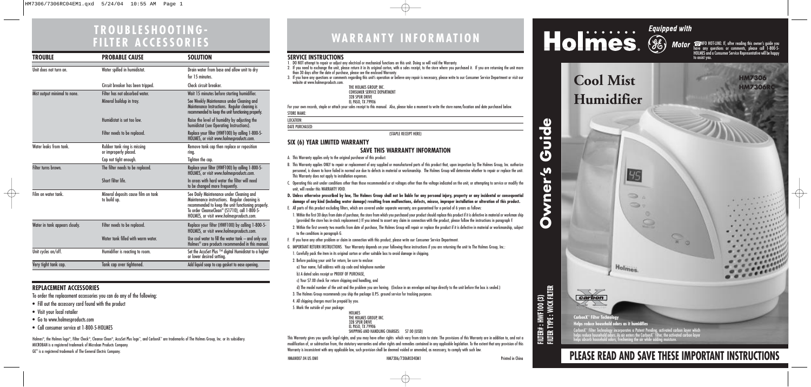# **WARRANTY INFORMATION**

**Owner's Guide**

 $\mathbf{v}$ 

**Owner** 

Guide

**FILTER# : HWF100 (3) FILTER TYPE : WICK FILTER**



# **PLEASE READ AND SAVE THESE IMPORTANT INSTRUCTIONS**

 $\sqrt{2}$  $\overline{x}$  0

### **SERVICE INSTRUCTIONS**

- 1. DO NOT attempt to repair or adjust any electrical or mechanical functions on this unit. Doing so will void the Warranty.
- 2. If you need to exchange the unit, please return it in its original carton, with a sales receipt, to the store where you purchased it. If you are returning the unit more than 30 days after the date of purchase, please see the enclosed Warranty.
- 3. If you have any questions or comments regarding this unit's operation or believe any repair is necessary, please write to our Consumer Service Department or visit our website at www.holmesproducts.com.

EL PASO, TX 79906<br>For your own records, staple or attach your sales receipt to this manual. Also, please take a moment to write the store name/location and date purchased below. STORE NAME:

| THE HOLMES GROUP, INC.             |
|------------------------------------|
| <b>CONSUMER SERVICE DEPARTMENT</b> |
| <b>32B SPUR DRIVE</b>              |
| EL PASO, TX 79906                  |
|                                    |

LOCATION:

DATE PURCHASED:

(STAPLE RECEIPT HERE)

### **SIX (6) YEAR LIMITED WARRANTY SAVE THIS WARRANTY INFORMATION**

- A. This Warranty applies only to the original purchaser of this product.
- B. This Warranty applies ONLY to repair or replacement of any supplied or manufactured parts of this product that, upon inspection by The Holmes Group, Inc. authorize personnel, is shown to have failed in normal use due to defects in material or workmanship. The Holmes Group will determine whether to repair or replace the unit. This Warranty does not apply to installation expenses.
- C. Operating this unit under conditions other than those recommended or at voltages other than the voltage indicated on the unit, or attempting to service or modify the unit, will render this WARRANTY VOID.
- **D. Unless otherwise proscribed by law, The Holmes Group shall not be liable for any personal injury, property or any incidental or consequential damage of any kind (including water damage) resulting from malfunctions, defects, misuse, improper installation or alteration of this product.**
- E. All parts of this product excluding filters, which are covered under separate warranty, are guaranteed for a period of 6 years as follows:
- 1. Within the first 30 days from date of purchase, the store from which you purchased your product should replace this product if it is defective in material or workman ship (provided the store has in-stock replacement.) If you intend to assert any claim in connection with the product, please follow the instructions in paragraph F.
- 2. Within the first seventy two months from date of purchase, The Holmes Group will repair or replace the product if it is defective in material or workmanship, subject to the conditions in paragraph G.
- F. If you have any other problem or claim in connection with this product, please write our Consumer Service Department.
- G. IMPORTANT RETURN INSTRUCTIONS. Your Warranty depends on your following these instructions if you are returning the unit to The Holmes Group, Inc.:

Holmes®, the Holmes logo®, Filter Check®, Cleanse Clean®, AccuSet Plus logo™, and CarbonX™ are trademarks of The Holmes Group, Inc. or its subsidiary. MICROBAN is a registered trademark of Microban Products Company. GE® is a registered trademark of The General Electric Company.

1. Carefully pack the item in its original carton or other suitable box to avoid damage in shipping.

- 2. Before packing your unit for return, be sure to enclose:
- a) Your name, full address with zip code and telephone number
- b) A dated sales receipt or PROOF OF PURCHASE,
- c) Your \$7.00 check for return shipping and handling, and

d) The model number of the unit and the problem you are having. (Enclose in an envelope and tape directly to the unit before the box is sealed.)

**CarbonX™ Filter Technology Helps reduce household odors as it humidifies**

CarbonX" Filter Technology incorporates a Patent Pending, activated carbon layer which,<br>helps reduce household odors. As air enters the CarbonX" filter, the activated carbon layer<br>helps absorb household odors, freshening t

45

Holmes.

 $\sum_{i=1}^{n}$  $\Rightarrow$ 

 $\Omega$ 

- 3. The Holmes Group recommends you ship the package U.P.S. ground service for tracking purposes.
- 4. All shipping charges must be prepaid by you.
- 5. Mark the outside of your package:

| <b>HOI MFS</b>                 |  |
|--------------------------------|--|
| THE HOLMES GROUP, INC.         |  |
| <b>32B SPUR DRIVE</b>          |  |
| EL PASO, TX 79906              |  |
| SHIPPING AND HANDLING CHARGES: |  |

This Warranty gives you specific legal rights, and you may have other rights which vary from state to state. The provisions of this Warranty are in addition to, and not a modification of, or subtraction from, the statutory warranties and other rights and remedies contained in any applicable legislation. To the extent that any provision of this Warranty is inconsistent with any applicable law, such provision shall be deemed voided or amended, as necessary, to comply with such law.

**S7.00 (USD)** 

HMAN007.04.US.OM1 HM7306/7306RC04EM1 Printed in China

**Humidifier**



**Cool Mist HM7306** 

# **TROUBLESHOOTING-FILTER ACCESSORIES**

## **REPLACEMENT ACCESSORIES**

To order the replacement accessories you can do any of the following:

- Fill out the accessory card found with the product
- Visit your local retailer

 $\overline{\oplus}$ 

- Go to www.holmesproducts.com
- Call consumer service at 1-800-5-HOLMES

| <b>TROUBLE</b>                | <b>PROBABLE CAUSE</b>                                | <b>SOLUTION</b>                                                                                                                                                                                                                                          |
|-------------------------------|------------------------------------------------------|----------------------------------------------------------------------------------------------------------------------------------------------------------------------------------------------------------------------------------------------------------|
| Unit does not turn on.        | Water spilled in humidistat.                         | Drain water from base and allow unit to dry<br>for 15 minutes.                                                                                                                                                                                           |
|                               | Circuit breaker has been tripped.                    | Check circuit breaker.                                                                                                                                                                                                                                   |
| Mist output minimal to none.  | Filter has not absorbed water.                       | Wait 15 minutes before starting humidifier.                                                                                                                                                                                                              |
|                               | Mineral buildup in tray.                             | See Weekly Maintenance under Cleaning and<br>Maintenance Instructions. Regular cleaning is<br>recommended to keep the unit functioning properly.                                                                                                         |
|                               | Humidistat is set too low.                           | Raise the level of humidity by adjusting the<br>humidistat (see Operating Instructions).                                                                                                                                                                 |
|                               | Filter needs to be replaced.                         | Replace your filter (HWF100) by calling 1-800-5-<br>HOLMES, or visit www.holmesproducts.com.                                                                                                                                                             |
| Water leaks from tank.        | Rubber tank ring is missing<br>or improperly placed. | Remove tank cap then replace or reposition<br>ring.                                                                                                                                                                                                      |
|                               | Cap not tight enough.                                | Tighten the cap.                                                                                                                                                                                                                                         |
| Filter turns brown.           | The filter needs to be replaced.                     | Replace your filter (HWF100) by calling 1-800-5-<br>HOLMES, or visit www.holmesproducts.com.                                                                                                                                                             |
|                               | Short filter life.                                   | In areas with hard water the filter will need<br>to be changed more frequently.                                                                                                                                                                          |
| Film on water tank.           | Mineral deposits cause film on tank<br>to build up.  | See Daily Maintenance under Cleaning and<br>Maintenance instructions. Regular cleaning is<br>recommended to keep the unit functioning properly.<br>To order CleanseClean <sup>®</sup> (S1710), call 1-800-5-<br>HOLMES, or visit www.holmesproducts.com. |
| Water in tank appears cloudy. | Filter needs to be replaced.                         | Replace your filter (HWF100) by calling 1-800-5-<br>HOLMES, or visit www.holmesproducts.com.                                                                                                                                                             |
|                               | Water tank filled with warm water.                   | Use cool water to fill the water tank - and only use<br>$H$ olmes $^{\circ\circ}$ care products recommended in this manual.                                                                                                                              |
| Unit cycles on/off.           | Humidifier is reacting to room.                      | Set the AccuSet Plus ™ digital Humidistat to a higher<br>or lower desired settina.                                                                                                                                                                       |
| Very tight tank cap.          | Tank cap over tightened.                             | Add liquid soap to cap gasket to ease opening.                                                                                                                                                                                                           |

☎ INFO HOT-LINE: If, after reading this owner's guide you have any questions or comments, please call 1-800-5- HOLMES and a Consumer Service Representative will be happy to assist you.

 $\overline{\bigoplus}$